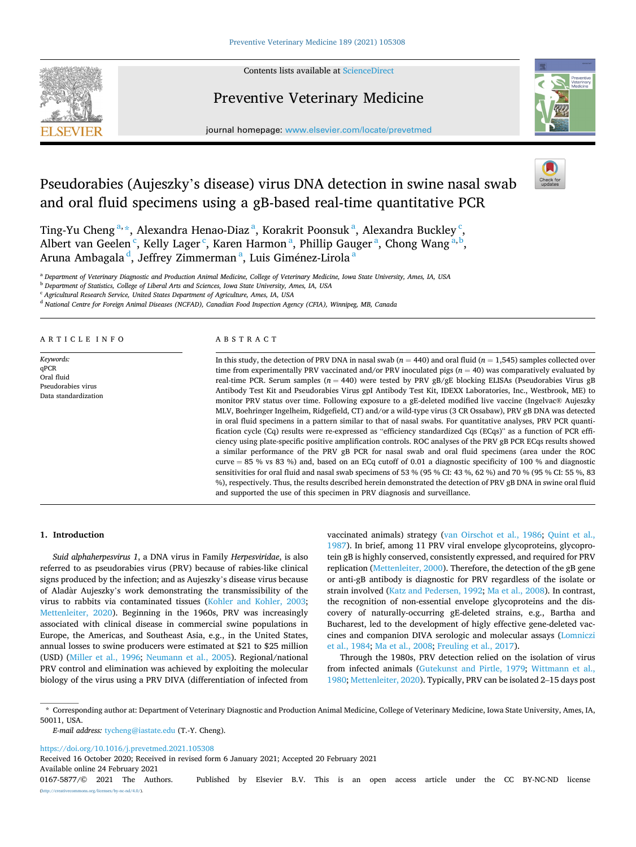

Contents lists available at [ScienceDirect](www.sciencedirect.com/science/journal/01675877)

## Preventive Veterinary Medicine



journal homepage: [www.elsevier.com/locate/prevetmed](https://www.elsevier.com/locate/prevetmed) 

# Pseudorabies (Aujeszky's disease) virus DNA detection in swine nasal swab and oral fluid specimens using a gB-based real-time quantitative PCR

Ting-Yu Cheng<sup>a,\*</sup>, Alexandra Henao-Diaz<sup>a</sup>, Korakrit Poonsuk<sup>a</sup>, Alexandra Buckley<sup>c</sup>, Albert van Geelen<sup>c</sup>, Kelly Lager<sup>c</sup>, Karen Harmon<sup>a</sup>, Phillip Gauger<sup>a</sup>, Chong Wang<sup>a,b</sup>, Aruna Ambagala <sup>d</sup>, Jeffrey Zimmerman <sup>a</sup>, Luis Giménez-Lirola <sup>a</sup>

<sup>a</sup> *Department of Veterinary Diagnostic and Production Animal Medicine, College of Veterinary Medicine, Iowa State University, Ames, IA, USA* 

<sup>b</sup> *Department of Statistics, College of Liberal Arts and Sciences, Iowa State University, Ames, IA, USA* 

<sup>c</sup> *Agricultural Research Service, United States Department of Agriculture, Ames, IA, USA* 

<sup>d</sup> *National Centre for Foreign Animal Diseases (NCFAD), Canadian Food Inspection Agency (CFIA), Winnipeg, MB, Canada* 

ARTICLE INFO

*Keywords:*  qPCR Oral fluid Pseudorabies virus Data standardization

#### ABSTRACT

In this study, the detection of PRV DNA in nasal swab (*n* = 440) and oral fluid (*n* = 1,545) samples collected over time from experimentally PRV vaccinated and/or PRV inoculated pigs  $(n = 40)$  was comparatively evaluated by real-time PCR. Serum samples ( $n = 440$ ) were tested by PRV gB/gE blocking ELISAs (Pseudorabies Virus gB Antibody Test Kit and Pseudorabies Virus gpI Antibody Test Kit, IDEXX Laboratories, Inc., Westbrook, ME) to monitor PRV status over time. Following exposure to a gE-deleted modified live vaccine (Ingelvac® Aujeszky MLV, Boehringer Ingelheim, Ridgefield, CT) and/or a wild-type virus (3 CR Ossabaw), PRV gB DNA was detected in oral fluid specimens in a pattern similar to that of nasal swabs. For quantitative analyses, PRV PCR quantification cycle (Cq) results were re-expressed as "efficiency standardized Cqs (ECqs)" as a function of PCR efficiency using plate-specific positive amplification controls. ROC analyses of the PRV gB PCR ECqs results showed a similar performance of the PRV gB PCR for nasal swab and oral fluid specimens (area under the ROC curve = 85 % vs 83 %) and, based on an ECq cutoff of 0.01 a diagnostic specificity of 100 % and diagnostic sensitivities for oral fluid and nasal swab specimens of 53 % (95 % CI: 43 %, 62 %) and 70 % (95 % CI: 55 %, 83 %), respectively. Thus, the results described herein demonstrated the detection of PRV gB DNA in swine oral fluid and supported the use of this specimen in PRV diagnosis and surveillance.

## **1. Introduction**

*Suid alphaherpesvirus 1*, a DNA virus in Family *Herpesviridae*, is also referred to as pseudorabies virus (PRV) because of rabies-like clinical signs produced by the infection; and as Aujeszky's disease virus because of Aladàr Aujeszky's work demonstrating the transmissibility of the virus to rabbits via contaminated tissues ([Kohler and Kohler, 2003](#page-6-0); [Mettenleiter, 2020](#page-6-0)). Beginning in the 1960s, PRV was increasingly associated with clinical disease in commercial swine populations in Europe, the Americas, and Southeast Asia, e.g., in the United States, annual losses to swine producers were estimated at \$21 to \$25 million (USD) [\(Miller et al., 1996;](#page-6-0) [Neumann et al., 2005](#page-6-0)). Regional/national PRV control and elimination was achieved by exploiting the molecular biology of the virus using a PRV DIVA (differentiation of infected from vaccinated animals) strategy [\(van Oirschot et al., 1986;](#page-7-0) [Quint et al.,](#page-6-0)  [1987\)](#page-6-0). In brief, among 11 PRV viral envelope glycoproteins, glycoprotein gB is highly conserved, consistently expressed, and required for PRV replication ([Mettenleiter, 2000\)](#page-6-0). Therefore, the detection of the gB gene or anti-gB antibody is diagnostic for PRV regardless of the isolate or strain involved ([Katz and Pedersen, 1992](#page-6-0); [Ma et al., 2008](#page-6-0)). In contrast, the recognition of non-essential envelope glycoproteins and the discovery of naturally-occurring gE-deleted strains, e.g., Bartha and Bucharest, led to the development of higly effective gene-deleted vaccines and companion DIVA serologic and molecular assays ([Lomniczi](#page-6-0)  [et al., 1984; Ma et al., 2008](#page-6-0); [Freuling et al., 2017\)](#page-6-0).

Through the 1980s, PRV detection relied on the isolation of virus from infected animals ([Gutekunst and Pirtle, 1979;](#page-6-0) [Wittmann et al.,](#page-7-0)  [1980;](#page-7-0) [Mettenleiter, 2020](#page-6-0)). Typically, PRV can be isolated 2–15 days post

*E-mail address:* [tycheng@iastate.edu](mailto:tycheng@iastate.edu) (T.-Y. Cheng).

<https://doi.org/10.1016/j.prevetmed.2021.105308>

Available online 24 February 2021 Received 16 October 2020; Received in revised form 6 January 2021; Accepted 20 February 2021

0167-5877/© 2021 The Authors. Published by Elsevier B.V. This is an open access article under the CC BY-NC-ND license [\(http://creativecommons.org/licenses/by-nc-nd/4.0/\)](http://creativecommons.org/licenses/by-nc-nd/4.0/).

<sup>\*</sup> Corresponding author at: Department of Veterinary Diagnostic and Production Animal Medicine, College of Veterinary Medicine, Iowa State University, Ames, IA, 50011, USA.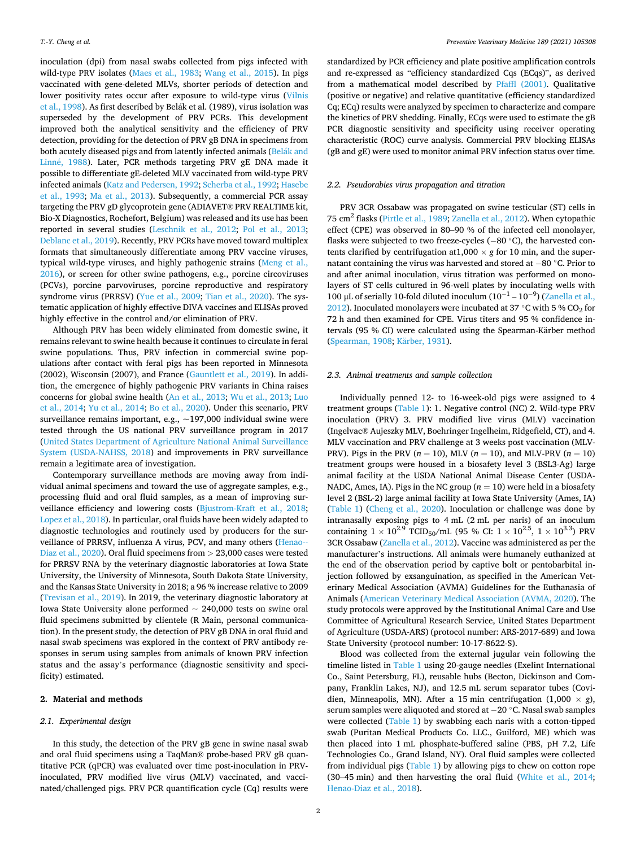<span id="page-1-0"></span>inoculation (dpi) from nasal swabs collected from pigs infected with wild-type PRV isolates [\(Maes et al., 1983](#page-6-0); [Wang et al., 2015](#page-7-0)). In pigs vaccinated with gene-deleted MLVs, shorter periods of detection and lower positivity rates occur after exposure to wild-type virus [\(Vilnis](#page-7-0)  [et al., 1998\)](#page-7-0). As first described by Belák et al. (1989), virus isolation was superseded by the development of PRV PCRs. This development improved both the analytical sensitivity and the efficiency of PRV detection, providing for the detection of PRV gB DNA in specimens from both acutely diseased pigs and from latently infected animals (Belák and Linné, 1988). Later, PCR methods targeting PRV gE DNA made it possible to differentiate gE-deleted MLV vaccinated from wild-type PRV infected animals ([Katz and Pedersen, 1992](#page-6-0); [Scherba et al., 1992](#page-7-0); [Hasebe](#page-6-0)  [et al., 1993](#page-6-0); [Ma et al., 2013](#page-6-0)). Subsequently, a commercial PCR assay targeting the PRV gD glycoprotein gene (ADIAVET® PRV REALTIME kit, Bio-X Diagnostics, Rochefort, Belgium) was released and its use has been reported in several studies ([Leschnik et al., 2012](#page-6-0); [Pol et al., 2013](#page-6-0); [Deblanc et al., 2019\)](#page-6-0). Recently, PRV PCRs have moved toward multiplex formats that simultaneously differentiate among PRV vaccine viruses, typical wild-type viruses, and highly pathogenic strains [\(Meng et al.,](#page-6-0)  [2016\)](#page-6-0), or screen for other swine pathogens, e.g., porcine circoviruses (PCVs), porcine parvoviruses, porcine reproductive and respiratory syndrome virus (PRRSV) ([Yue et al., 2009;](#page-7-0) [Tian et al., 2020\)](#page-7-0). The systematic application of highly effective DIVA vaccines and ELISAs proved highly effective in the control and/or elimination of PRV.

Although PRV has been widely eliminated from domestic swine, it remains relevant to swine health because it continues to circulate in feral swine populations. Thus, PRV infection in commercial swine populations after contact with feral pigs has been reported in Minnesota (2002), Wisconsin (2007), and France ([Gauntlett et al., 2019](#page-6-0)). In addition, the emergence of highly pathogenic PRV variants in China raises concerns for global swine health [\(An et al., 2013](#page-5-0); [Wu et al., 2013;](#page-7-0) [Luo](#page-6-0)  [et al., 2014](#page-6-0); [Yu et al., 2014](#page-7-0); [Bo et al., 2020](#page-5-0)). Under this scenario, PRV surveillance remains important, e.g., ~197,000 individual swine were tested through the US national PRV surveillance program in 2017 ([United States Department of Agriculture National Animal Surveillance](#page-7-0)  [System \(USDA-NAHSS, 2018](#page-7-0)) and improvements in PRV surveillance remain a legitimate area of investigation.

Contemporary surveillance methods are moving away from individual animal specimens and toward the use of aggregate samples, e.g., processing fluid and oral fluid samples, as a mean of improving surveillance efficiency and lowering costs [\(Bjustrom-Kraft et al., 2018](#page-5-0); [Lopez et al., 2018\)](#page-6-0). In particular, oral fluids have been widely adapted to diagnostic technologies and routinely used by producers for the surveillance of PRRSV, influenza A virus, PCV, and many others ([Henao--](#page-6-0)[Diaz et al., 2020\)](#page-6-0). Oral fluid specimens from *>* 23,000 cases were tested for PRRSV RNA by the veterinary diagnostic laboratories at Iowa State University, the University of Minnesota, South Dakota State University, and the Kansas State University in 2018; a 96 % increase relative to 2009 ([Trevisan et al., 2019](#page-7-0)). In 2019, the veterinary diagnostic laboratory at Iowa State University alone performed  $\sim 240,000$  tests on swine oral fluid specimens submitted by clientele (R Main, personal communication). In the present study, the detection of PRV gB DNA in oral fluid and nasal swab specimens was explored in the context of PRV antibody responses in serum using samples from animals of known PRV infection status and the assay's performance (diagnostic sensitivity and specificity) estimated.

#### **2. Material and methods**

#### *2.1. Experimental design*

In this study, the detection of the PRV gB gene in swine nasal swab and oral fluid specimens using a TaqMan® probe-based PRV gB quantitative PCR (qPCR) was evaluated over time post-inoculation in PRVinoculated, PRV modified live virus (MLV) vaccinated, and vaccinated/challenged pigs. PRV PCR quantification cycle (Cq) results were

standardized by PCR efficiency and plate positive amplification controls and re-expressed as "efficiency standardized Cqs (ECqs)", as derived from a mathematical model described by [Pfaffl \(2001\).](#page-6-0) Qualitative (positive or negative) and relative quantitative (efficiency standardized Cq; ECq) results were analyzed by specimen to characterize and compare the kinetics of PRV shedding. Finally, ECqs were used to estimate the gB PCR diagnostic sensitivity and specificity using receiver operating characteristic (ROC) curve analysis. Commercial PRV blocking ELISAs (gB and gE) were used to monitor animal PRV infection status over time.

## *2.2. Pseudorabies virus propagation and titration*

PRV 3CR Ossabaw was propagated on swine testicular (ST) cells in 75 cm2 flasks [\(Pirtle et al., 1989](#page-6-0); [Zanella et al., 2012\)](#page-7-0). When cytopathic effect (CPE) was observed in 80–90 % of the infected cell monolayer, flasks were subjected to two freeze-cycles (− 80 ◦C), the harvested contents clarified by centrifugation at  $1,000 \times g$  for  $10$  min, and the supernatant containing the virus was harvested and stored at − 80 ◦C. Prior to and after animal inoculation, virus titration was performed on monolayers of ST cells cultured in 96-well plates by inoculating wells with 100 μL of serially 10-fold diluted inoculum  $(10^{-1} - 10^{-9})$  (Zanella et al., [2012\)](#page-7-0). Inoculated monolayers were incubated at 37 °C with 5 %  $CO<sub>2</sub>$  for 72 h and then examined for CPE. Virus titers and 95 % confidence intervals (95 % CI) were calculated using the Spearman-Kärber method ([Spearman, 1908](#page-7-0); Kärber, 1931).

#### *2.3. Animal treatments and sample collection*

Individually penned 12- to 16-week-old pigs were assigned to 4 treatment groups ([Table 1](#page-2-0)): 1. Negative control (NC) 2. Wild-type PRV inoculation (PRV) 3. PRV modified live virus (MLV) vaccination (Ingelvac® Aujeszky MLV, Boehringer Ingelheim, Ridgefield, CT), and 4. MLV vaccination and PRV challenge at 3 weeks post vaccination (MLV-PRV). Pigs in the PRV ( $n = 10$ ), MLV ( $n = 10$ ), and MLV-PRV ( $n = 10$ ) treatment groups were housed in a biosafety level 3 (BSL3-Ag) large animal facility at the USDA National Animal Disease Center (USDA-NADC, Ames, IA). Pigs in the NC group  $(n = 10)$  were held in a biosafety level 2 (BSL-2) large animal facility at Iowa State University (Ames, IA) ([Table 1\)](#page-2-0) ([Cheng et al., 2020\)](#page-6-0). Inoculation or challenge was done by intranasally exposing pigs to 4 mL (2 mL per naris) of an inoculum containing  $1 \times 10^{2.9}$  TCID<sub>50</sub>/mL (95 % CI:  $1 \times 10^{2.5}$ ,  $1 \times 10^{3.3}$ ) PRV 3CR Ossabaw ([Zanella et al., 2012](#page-7-0)). Vaccine was administered as per the manufacturer's instructions. All animals were humanely euthanized at the end of the observation period by captive bolt or pentobarbital injection followed by exsanguination, as specified in the American Veterinary Medical Association (AVMA) Guidelines for the Euthanasia of Animals [\(American Veterinary Medical Association \(AVMA, 2020\)](#page-5-0). The study protocols were approved by the Institutional Animal Care and Use Committee of Agricultural Research Service, United States Department of Agriculture (USDA-ARS) (protocol number: ARS-2017-689) and Iowa State University (protocol number: 10-17-8622-S).

Blood was collected from the external jugular vein following the timeline listed in [Table 1](#page-2-0) using 20-gauge needles (Exelint International Co., Saint Petersburg, FL), reusable hubs (Becton, Dickinson and Company, Franklin Lakes, NJ), and 12.5 mL serum separator tubes (Covidien, Minneapolis, MN). After a 15 min centrifugation  $(1,000 \times g)$ , serum samples were aliquoted and stored at − 20 ◦C. Nasal swab samples were collected [\(Table 1](#page-2-0)) by swabbing each naris with a cotton-tipped swab (Puritan Medical Products Co. LLC., Guilford, ME) which was then placed into 1 mL phosphate-buffered saline (PBS, pH 7.2, Life Technologies Co., Grand Island, NY). Oral fluid samples were collected from individual pigs ([Table 1](#page-2-0)) by allowing pigs to chew on cotton rope (30–45 min) and then harvesting the oral fluid [\(White et al., 2014](#page-7-0); [Henao-Diaz et al., 2018](#page-6-0)).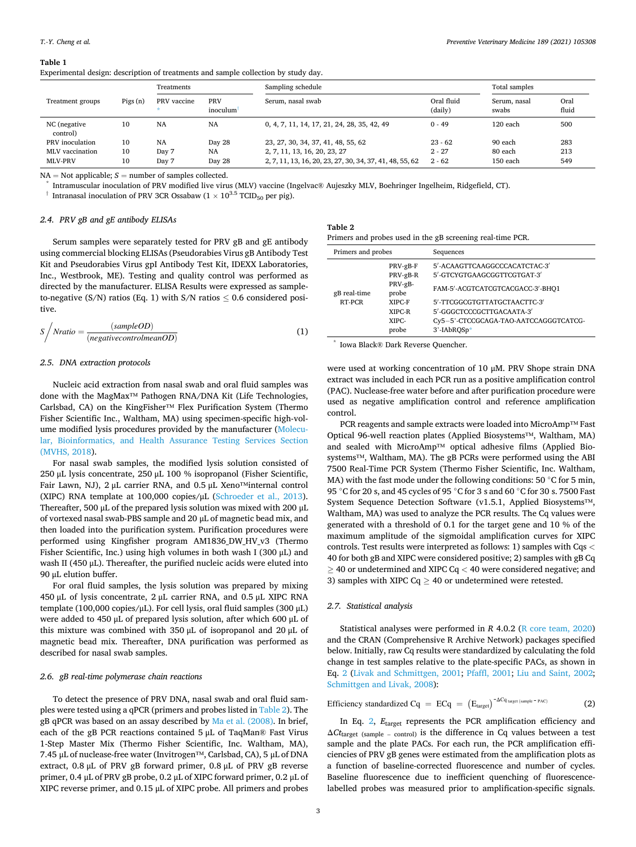|                          |         | Treatments  |                 | Sampling schedule                                        |                       | Total samples         |               |
|--------------------------|---------|-------------|-----------------|----------------------------------------------------------|-----------------------|-----------------------|---------------|
| Treatment groups         | Pigs(n) | PRV vaccine | PRV<br>inoculum | Serum, nasal swab                                        | Oral fluid<br>(daily) | Serum, nasal<br>swabs | Oral<br>fluio |
| NC (negative<br>control) | 10      | NA          | <b>NA</b>       | 0, 4, 7, 11, 14, 17, 21, 24, 28, 35, 42, 49              | $0 - 49$              | $120$ each            | 500           |
| PRV inoculation          | 10      | NA          | Day 28          | 23, 27, 30, 34, 37, 41, 48, 55, 62                       | $23 - 62$             | 90 each               | 283           |
| MLV vaccination          | 10      | Day 7       | NA              | 2, 7, 11, 13, 16, 20, 23, 27                             | $2 - 27$              | 80 each               | 213           |
| <b>MLV-PRV</b>           | 10      | Day 7       | Day 28          | 2, 7, 11, 13, 16, 20, 23, 27, 30, 34, 37, 41, 48, 55, 62 | $2 - 62$              | 150 each              | 549           |
|                          |         |             |                 |                                                          |                       |                       |               |

<span id="page-2-0"></span>**Table 1**  Experimental design: description of treatments and sample collection by study day.

NA = Not applicable; *S* = number of samples collected.<br>\* Intramuscular inoculation of PRV modified live virus (MLV) vaccine (Ingelvac® Aujeszky MLV, Boehringer Ingelheim, Ridgefield, CT).

<sup>†</sup> Intranasal inoculation of PRV 3CR Ossabaw ( $1 \times 10^{3.5}$  TCID<sub>50</sub> per pig).

#### *2.4. PRV gB and gE antibody ELISAs*

Serum samples were separately tested for PRV gB and gE antibody using commercial blocking ELISAs (Pseudorabies Virus gB Antibody Test Kit and Pseudorabies Virus gpI Antibody Test Kit, IDEXX Laboratories, Inc., Westbrook, ME). Testing and quality control was performed as directed by the manufacturer. ELISA Results were expressed as sampleto-negative (S/N) ratios (Eq. 1) with S/N ratios  $\leq 0.6$  considered positive.

$$
S \bigg/ N ratio = \frac{(sampleOD)}{(negative controlmean OD)} \tag{1}
$$

#### *2.5. DNA extraction protocols*

Nucleic acid extraction from nasal swab and oral fluid samples was done with the MagMax™ Pathogen RNA/DNA Kit (Life Technologies, Carlsbad, CA) on the KingFisher™ Flex Purification System (Thermo Fisher Scientific Inc., Waltham, MA) using specimen-specific high-volume modified lysis procedures provided by the manufacturer [\(Molecu](#page-6-0)[lar, Bioinformatics, and Health Assurance Testing Services Section](#page-6-0)  [\(MVHS, 2018\)](#page-6-0).

For nasal swab samples, the modified lysis solution consisted of 250 μL lysis concentrate, 250 μL 100 % isopropanol (Fisher Scientific, Fair Lawn, NJ), 2 μL carrier RNA, and 0.5 μL Xeno™internal control (XIPC) RNA template at 100,000 copies/μL [\(Schroeder et al., 2013](#page-7-0)). Thereafter, 500 μL of the prepared lysis solution was mixed with 200 μL of vortexed nasal swab-PBS sample and 20 μL of magnetic bead mix, and then loaded into the purification system. Purification procedures were performed using Kingfisher program AM1836\_DW\_HV\_v3 (Thermo Fisher Scientific, Inc.) using high volumes in both wash I (300 μL) and wash II (450 μL). Thereafter, the purified nucleic acids were eluted into 90 μL elution buffer.

For oral fluid samples, the lysis solution was prepared by mixing 450 μL of lysis concentrate, 2 μL carrier RNA, and 0.5 μL XIPC RNA template (100,000 copies/μL). For cell lysis, oral fluid samples (300 μL) were added to 450 μL of prepared lysis solution, after which 600 μL of this mixture was combined with 350 μL of isopropanol and 20 μL of magnetic bead mix. Thereafter, DNA purification was performed as described for nasal swab samples.

## *2.6. gB real-time polymerase chain reactions*

To detect the presence of PRV DNA, nasal swab and oral fluid samples were tested using a qPCR (primers and probes listed in Table 2). The gB qPCR was based on an assay described by [Ma et al. \(2008\).](#page-6-0) In brief, each of the gB PCR reactions contained 5 μL of TaqMan® Fast Virus 1-Step Master Mix (Thermo Fisher Scientific, Inc. Waltham, MA), 7.45 μL of nuclease-free water (Invitrogen™, Carlsbad, CA), 5 μL of DNA extract, 0.8 μL of PRV gB forward primer, 0.8 μL of PRV gB reverse primer, 0.4 μL of PRV gB probe, 0.2 μL of XIPC forward primer, 0.2 μL of XIPC reverse primer, and 0.15 μL of XIPC probe. All primers and probes

| Table 2                                                    |  |  |  |
|------------------------------------------------------------|--|--|--|
| Primers and probes used in the gB screening real-time PCR. |  |  |  |

| Primers and probes     |                                                                                | Sequences                                                                                                                                                                                                             |  |
|------------------------|--------------------------------------------------------------------------------|-----------------------------------------------------------------------------------------------------------------------------------------------------------------------------------------------------------------------|--|
| gB real-time<br>RT-PCR | PRV-gB-F<br>PRV-gB-R<br>PRV-gB-<br>probe<br>XIPC-F<br>XIPC-R<br>XIPC-<br>probe | 5'-ACAAGTTCAAGGCCCACATCTAC-3'<br>5'-GTCYGTGAAGCGGTTCGTGAT-3'<br>FAM-5'-ACGTCATCGTCACGACC-3'-BHQ1<br>5'-TTCGGCGTGTTATGCTAACTTC-3'<br>5'-GGGCTCCCGCTTGACAATA-3'<br>Cy5-5'-CTCCGCAGA-TAO-AATCCAGGGTCATCG-<br>3'-IAbROSp* |  |

\* Iowa Black® Dark Reverse Quencher.

were used at working concentration of 10 μM. PRV Shope strain DNA extract was included in each PCR run as a positive amplification control (PAC). Nuclease-free water before and after purification procedure were used as negative amplification control and reference amplification control.

PCR reagents and sample extracts were loaded into MicroAmp™ Fast Optical 96-well reaction plates (Applied Biosystems™, Waltham, MA) and sealed with MicroAmp™ optical adhesive films (Applied Biosystems™, Waltham, MA). The gB PCRs were performed using the ABI 7500 Real-Time PCR System (Thermo Fisher Scientific, Inc. Waltham, MA) with the fast mode under the following conditions: 50  $\degree$ C for 5 min, 95 °C for 20 s, and 45 cycles of 95 °C for 3 s and 60 °C for 30 s. 7500 Fast System Sequence Detection Software (v1.5.1, Applied Biosystems™, Waltham, MA) was used to analyze the PCR results. The Cq values were generated with a threshold of 0.1 for the target gene and 10 % of the maximum amplitude of the sigmoidal amplification curves for XIPC controls. Test results were interpreted as follows: 1) samples with Cqs *<* 40 for both gB and XIPC were considered positive; 2) samples with gB Cq ≥ 40 or undetermined and XIPC Cq *<* 40 were considered negative; and 3) samples with XIPC Cq  $\geq$  40 or undetermined were retested.

#### *2.7. Statistical analysis*

Statistical analyses were performed in *R* 4.0.2 ([R core team, 2020\)](#page-6-0) and the CRAN (Comprehensive R Archive Network) packages specified below. Initially, raw Cq results were standardized by calculating the fold change in test samples relative to the plate-specific PACs, as shown in Eq. [2](#page-1-0) [\(Livak and Schmittgen, 2001](#page-6-0); [Pfaffl, 2001](#page-6-0); [Liu and Saint, 2002](#page-6-0); [Schmittgen and Livak, 2008\)](#page-7-0):

$$
Efficiency \ standardized \ Cq \ = \ ECq \ = \ \left(E_{target}\right)^{-\Delta Cq_{target \ (sample = PAC)}} \tag{2}
$$

In Eq. [2,](#page-1-0) *E*target represents the PCR amplification efficiency and Δ*Ct*target (sample – control) is the difference in Cq values between a test sample and the plate PACs. For each run, the PCR amplification efficiencies of PRV gB genes were estimated from the amplification plots as a function of baseline-corrected fluorescence and number of cycles. Baseline fluorescence due to inefficient quenching of fluorescencelabelled probes was measured prior to amplification-specific signals.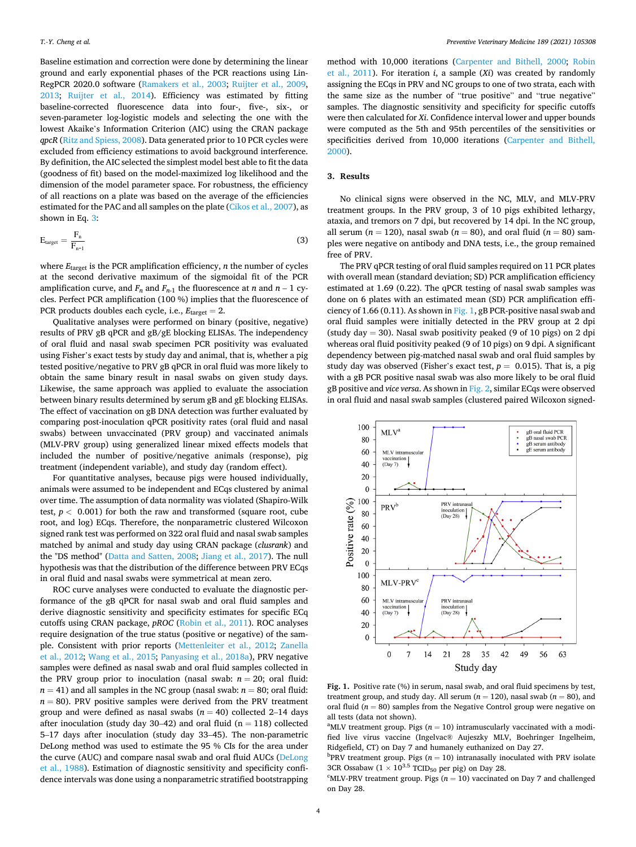<span id="page-3-0"></span>Baseline estimation and correction were done by determining the linear ground and early exponential phases of the PCR reactions using Lin-RegPCR 2020.0 software ([Ramakers et al., 2003](#page-6-0); [Ruijter et al., 2009](#page-6-0), [2013;](#page-6-0) [Ruijter et al., 2014](#page-6-0)). Efficiency was estimated by fitting baseline-corrected fluorescence data into four-, five-, six-, or seven-parameter log-logistic models and selecting the one with the lowest Akaike's Information Criterion (AIC) using the CRAN package *qpcR* ([Ritz and Spiess, 2008](#page-6-0)). Data generated prior to 10 PCR cycles were excluded from efficiency estimations to avoid background interference. By definition, the AIC selected the simplest model best able to fit the data (goodness of fit) based on the model-maximized log likelihood and the dimension of the model parameter space. For robustness, the efficiency of all reactions on a plate was based on the average of the efficiencies estimated for the PAC and all samples on the plate ([Cikos et al., 2007\)](#page-6-0), as shown in Eq. 3:

$$
E_{target} = \frac{F_n}{F_{n-1}}
$$
 (3)

where *E*target is the PCR amplification efficiency, *n* the number of cycles at the second derivative maximum of the sigmoidal fit of the PCR amplification curve, and  $F_n$  and  $F_{n-1}$  the fluorescence at *n* and  $n-1$  cycles. Perfect PCR amplification (100 %) implies that the fluorescence of PCR products doubles each cycle, i.e.,  $E_{\text{target}} = 2$ .

Qualitative analyses were performed on binary (positive, negative) results of PRV gB qPCR and gB/gE blocking ELISAs. The independency of oral fluid and nasal swab specimen PCR positivity was evaluated using Fisher's exact tests by study day and animal, that is, whether a pig tested positive/negative to PRV gB qPCR in oral fluid was more likely to obtain the same binary result in nasal swabs on given study days. Likewise, the same approach was applied to evaluate the association between binary results determined by serum gB and gE blocking ELISAs. The effect of vaccination on gB DNA detection was further evaluated by comparing post-inoculation qPCR positivity rates (oral fluid and nasal swabs) between unvaccinated (PRV group) and vaccinated animals (MLV-PRV group) using generalized linear mixed effects models that included the number of positive/negative animals (response), pig treatment (independent variable), and study day (random effect).

For quantitative analyses, because pigs were housed individually, animals were assumed to be independent and ECqs clustered by animal over time. The assumption of data normality was violated (Shapiro-Wilk test,  $p < 0.001$ ) for both the raw and transformed (square root, cube root, and log) ECqs. Therefore, the nonparametric clustered Wilcoxon signed rank test was performed on 322 oral fluid and nasal swab samples matched by animal and study day using CRAN package (*clusrank*) and the "DS method" ([Datta and Satten, 2008;](#page-6-0) [Jiang et al., 2017](#page-6-0)). The null hypothesis was that the distribution of the difference between PRV ECqs in oral fluid and nasal swabs were symmetrical at mean zero.

ROC curve analyses were conducted to evaluate the diagnostic performance of the gB qPCR for nasal swab and oral fluid samples and derive diagnostic sensitivity and specificity estimates for specific ECq cutoffs using CRAN package, *pROC* [\(Robin et al., 2011\)](#page-6-0). ROC analyses require designation of the true status (positive or negative) of the sample. Consistent with prior reports ([Mettenleiter et al., 2012;](#page-6-0) [Zanella](#page-7-0)  [et al., 2012](#page-7-0); [Wang et al., 2015;](#page-7-0) [Panyasing et al., 2018a](#page-6-0)), PRV negative samples were defined as nasal swab and oral fluid samples collected in the PRV group prior to inoculation (nasal swab:  $n = 20$ ; oral fluid:  $n = 41$ ) and all samples in the NC group (nasal swab:  $n = 80$ ; oral fluid:  $n = 80$ ). PRV positive samples were derived from the PRV treatment group and were defined as nasal swabs  $(n = 40)$  collected 2–14 days after inoculation (study day 30–42) and oral fluid ( $n = 118$ ) collected 5–17 days after inoculation (study day 33–45). The non-parametric DeLong method was used to estimate the 95 % CIs for the area under the curve (AUC) and compare nasal swab and oral fluid AUCs ([DeLong](#page-6-0)  [et al., 1988\)](#page-6-0). Estimation of diagnostic sensitivity and specificity confidence intervals was done using a nonparametric stratified bootstrapping

method with 10,000 iterations ([Carpenter and Bithell, 2000](#page-6-0); [Robin](#page-6-0)  [et al., 2011\)](#page-6-0). For iteration *i*, a sample (*Xi*) was created by randomly assigning the ECqs in PRV and NC groups to one of two strata, each with the same size as the number of "true positive" and "true negative" samples. The diagnostic sensitivity and specificity for specific cutoffs were then calculated for *Xi*. Confidence interval lower and upper bounds were computed as the 5th and 95th percentiles of the sensitivities or specificities derived from 10,000 iterations [\(Carpenter and Bithell,](#page-6-0)  [2000\)](#page-6-0).

## **3. Results**

No clinical signs were observed in the NC, MLV, and MLV-PRV treatment groups. In the PRV group, 3 of 10 pigs exhibited lethargy, ataxia, and tremors on 7 dpi, but recovered by 14 dpi. In the NC group, all serum ( $n = 120$ ), nasal swab ( $n = 80$ ), and oral fluid ( $n = 80$ ) samples were negative on antibody and DNA tests, i.e., the group remained free of PRV.

The PRV qPCR testing of oral fluid samples required on 11 PCR plates with overall mean (standard deviation; SD) PCR amplification efficiency estimated at 1.69 (0.22). The qPCR testing of nasal swab samples was done on 6 plates with an estimated mean (SD) PCR amplification efficiency of 1.66 (0.11). As shown in Fig. 1, gB PCR-positive nasal swab and oral fluid samples were initially detected in the PRV group at 2 dpi (study day  $= 30$ ). Nasal swab positivity peaked (9 of 10 pigs) on 2 dpi whereas oral fluid positivity peaked (9 of 10 pigs) on 9 dpi. A significant dependency between pig-matched nasal swab and oral fluid samples by study day was observed (Fisher's exact test,  $p = 0.015$ ). That is, a pig with a gB PCR positive nasal swab was also more likely to be oral fluid gB positive and *vice versa*. As shown in [Fig. 2,](#page-4-0) similar ECqs were observed in oral fluid and nasal swab samples (clustered paired Wilcoxon signed-



**Fig. 1.** Positive rate (%) in serum, nasal swab, and oral fluid specimens by test, treatment group, and study day. All serum  $(n = 120)$ , nasal swab  $(n = 80)$ , and oral fluid ( $n = 80$ ) samples from the Negative Control group were negative on all tests (data not shown).

<sup>a</sup>MLV treatment group. Pigs ( $n = 10$ ) intramuscularly vaccinated with a modified live virus vaccine (Ingelvac® Aujeszky MLV, Boehringer Ingelheim, Ridgefield, CT) on Day 7 and humanely euthanized on Day 27. b

<sup>b</sup>PRV treatment group. Pigs ( $n = 10$ ) intranasally inoculated with PRV isolate 3CR Ossabaw  $(1 \times 10^{3.5} \text{ TCID}_{50}$  per pig) on Day 28.

<sup>c</sup>MLV-PRV treatment group. Pigs ( $n = 10$ ) vaccinated on Day 7 and challenged on Day 28.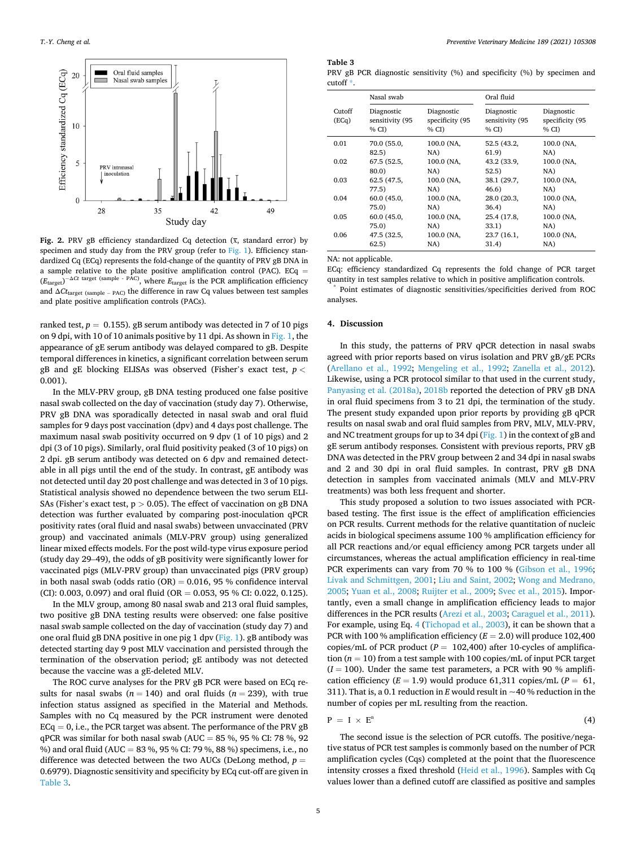<span id="page-4-0"></span>

**Fig. 2.** PRV gB efficiency standardized Cq detection  $(\bar{x})$ , standard error) by specimen and study day from the PRV group (refer to [Fig. 1](#page-3-0)). Efficiency standardized Cq (ECq) represents the fold-change of the quantity of PRV gB DNA in a sample relative to the plate positive amplification control (PAC). ECq =  $(E_{\text{target}})^{-\Delta Ct \text{ target (sample - PAC)}}$ , where  $E_{\text{target}}$  is the PCR amplification efficiency and Δ*Ct*target (sample – PAC) the difference in raw Cq values between test samples and plate positive amplification controls (PACs).

ranked test,  $p = 0.155$ ). gB serum antibody was detected in 7 of 10 pigs on 9 dpi, with 10 of 10 animals positive by 11 dpi. As shown in [Fig. 1,](#page-3-0) the appearance of gE serum antibody was delayed compared to gB. Despite temporal differences in kinetics, a significant correlation between serum gB and gE blocking ELISAs was observed (Fisher's exact test, *p <* 0.001).

In the MLV-PRV group, gB DNA testing produced one false positive nasal swab collected on the day of vaccination (study day 7). Otherwise, PRV gB DNA was sporadically detected in nasal swab and oral fluid samples for 9 days post vaccination (dpv) and 4 days post challenge. The maximum nasal swab positivity occurred on 9 dpv (1 of 10 pigs) and 2 dpi (3 of 10 pigs). Similarly, oral fluid positivity peaked (3 of 10 pigs) on 2 dpi. gB serum antibody was detected on 6 dpv and remained detectable in all pigs until the end of the study. In contrast, gE antibody was not detected until day 20 post challenge and was detected in 3 of 10 pigs. Statistical analysis showed no dependence between the two serum ELI-SAs (Fisher's exact test, p *>* 0.05). The effect of vaccination on gB DNA detection was further evaluated by comparing post-inoculation qPCR positivity rates (oral fluid and nasal swabs) between unvaccinated (PRV group) and vaccinated animals (MLV-PRV group) using generalized linear mixed effects models. For the post wild-type virus exposure period (study day 29–49), the odds of gB positivity were significantly lower for vaccinated pigs (MLV-PRV group) than unvaccinated pigs (PRV group) in both nasal swab (odds ratio  $(OR) = 0.016$ , 95 % confidence interval (CI): 0.003, 0.097) and oral fluid (OR = 0.053, 95 % CI: 0.022, 0.125).

In the MLV group, among 80 nasal swab and 213 oral fluid samples, two positive gB DNA testing results were observed: one false positive nasal swab sample collected on the day of vaccination (study day 7) and one oral fluid gB DNA positive in one pig 1 dpv ([Fig. 1](#page-3-0)). gB antibody was detected starting day 9 post MLV vaccination and persisted through the termination of the observation period; gE antibody was not detected because the vaccine was a gE-deleted MLV.

The ROC curve analyses for the PRV gB PCR were based on ECq results for nasal swabs ( $n = 140$ ) and oral fluids ( $n = 239$ ), with true infection status assigned as specified in the Material and Methods. Samples with no Cq measured by the PCR instrument were denoted  $ECq = 0$ , i.e., the PCR target was absent. The performance of the PRV  $gB$ qPCR was similar for both nasal swab (AUC =  $85\%$ ,  $95\%$  CI:  $78\%$ ,  $92$ %) and oral fluid (AUC = 83 %, 95 % CI: 79 %, 88 %) specimens, i.e., no difference was detected between the two AUCs (DeLong method,  $p =$ 0.6979). Diagnostic sensitivity and specificity by ECq cut-off are given in Table 3.

#### **Table 3**

PRV gB PCR diagnostic sensitivity (%) and specificity (%) by specimen and  $\frac{c}{c}$ 

|                 | Nasal swab                            |                                       | Oral fluid                            |                                        |  |
|-----------------|---------------------------------------|---------------------------------------|---------------------------------------|----------------------------------------|--|
| Cutoff<br>(ECq) | Diagnostic<br>sensitivity (95<br>% CD | Diagnostic<br>specificity (95<br>% CD | Diagnostic<br>sensitivity (95<br>% CD | Diagnostic<br>specificity (95<br>% CI) |  |
| 0.01            | 70.0 (55.0,                           | 100.0 (NA,                            | 52.5 (43.2,                           | 100.0 (NA,                             |  |
|                 | 82.5)                                 | NA)                                   | 61.9)                                 | NA)                                    |  |
| 0.02            | 67.5 (52.5,                           | 100.0 (NA,                            | 43.2 (33.9,                           | 100.0 (NA,                             |  |
|                 | 80.0)                                 | NA)                                   | 52.5)                                 | NA)                                    |  |
| 0.03            | 62.5 (47.5,                           | 100.0 (NA,                            | 38.1 (29.7,                           | 100.0 (NA,                             |  |
|                 | 77.5)                                 | NA)                                   | 46.6)                                 | NA)                                    |  |
| 0.04            | 60.0(45.0,                            | 100.0 (NA,                            | 28.0 (20.3,                           | 100.0 (NA,                             |  |
|                 | 75.0)                                 | NA)                                   | 36.4)                                 | NA)                                    |  |
| 0.05            | 60.0(45.0,                            | 100.0 (NA,                            | 25.4 (17.8,                           | 100.0 (NA,                             |  |
|                 | 75.0)                                 | NA)                                   | 33.1)                                 | NA)                                    |  |
| 0.06            | 47.5 (32.5,                           | 100.0 (NA,                            | 23.7 (16.1,                           | 100.0 (NA,                             |  |
|                 | 62.5)                                 | NA)                                   | 31.4)                                 | NA)                                    |  |

NA: not applicable.

ECq: efficiency standardized Cq represents the fold change of PCR target quantity in test samples relative to which in positive amplification controls. \* Point estimates of diagnostic sensitivities/specificities derived from ROC analyses.

#### **4. Discussion**

In this study, the patterns of PRV qPCR detection in nasal swabs agreed with prior reports based on virus isolation and PRV gB/gE PCRs ([Arellano et al., 1992;](#page-5-0) [Mengeling et al., 1992;](#page-6-0) [Zanella et al., 2012](#page-7-0)). Likewise, using a PCR protocol similar to that used in the current study, [Panyasing et al. \(2018a\), 2018b](#page-6-0) reported the detection of PRV gB DNA in oral fluid specimens from 3 to 21 dpi, the termination of the study. The present study expanded upon prior reports by providing gB qPCR results on nasal swab and oral fluid samples from PRV, MLV, MLV-PRV, and NC treatment groups for up to 34 dpi ([Fig. 1\)](#page-3-0) in the context of gB and gE serum antibody responses. Consistent with previous reports, PRV gB DNA was detected in the PRV group between 2 and 34 dpi in nasal swabs and 2 and 30 dpi in oral fluid samples. In contrast, PRV gB DNA detection in samples from vaccinated animals (MLV and MLV-PRV treatments) was both less frequent and shorter.

This study proposed a solution to two issues associated with PCRbased testing. The first issue is the effect of amplification efficiencies on PCR results. Current methods for the relative quantitation of nucleic acids in biological specimens assume 100 % amplification efficiency for all PCR reactions and/or equal efficiency among PCR targets under all circumstances, whereas the actual amplification efficiency in real-time PCR experiments can vary from 70 % to 100 % [\(Gibson et al., 1996](#page-6-0); [Livak and Schmittgen, 2001](#page-6-0); [Liu and Saint, 2002;](#page-6-0) [Wong and Medrano,](#page-7-0)  [2005; Yuan et al., 2008](#page-7-0); [Ruijter et al., 2009](#page-6-0); [Svec et al., 2015](#page-7-0)). Importantly, even a small change in amplification efficiency leads to major differences in the PCR results ([Arezi et al., 2003;](#page-5-0) [Caraguel et al., 2011](#page-6-0)). For example, using Eq. 4 [\(Tichopad et al., 2003\)](#page-7-0), it can be shown that a PCR with 100 % amplification efficiency (*E* = 2.0) will produce 102,400 copies/mL of PCR product  $(P = 102,400)$  after 10-cycles of amplification (*n* = 10) from a test sample with 100 copies/mL of input PCR target  $(I = 100)$ . Under the same test parameters, a PCR with 90 % amplification efficiency  $(E = 1.9)$  would produce 61,311 copies/mL  $(P = 61,$ 311). That is, a 0.1 reduction in *E* would result in  $\sim$  40 % reduction in the number of copies per mL resulting from the reaction.

$$
P = I \times E^{n}
$$
 (4)

The second issue is the selection of PCR cutoffs. The positive/negative status of PCR test samples is commonly based on the number of PCR amplification cycles (Cqs) completed at the point that the fluorescence intensity crosses a fixed threshold ([Heid et al., 1996\)](#page-6-0). Samples with Cq values lower than a defined cutoff are classified as positive and samples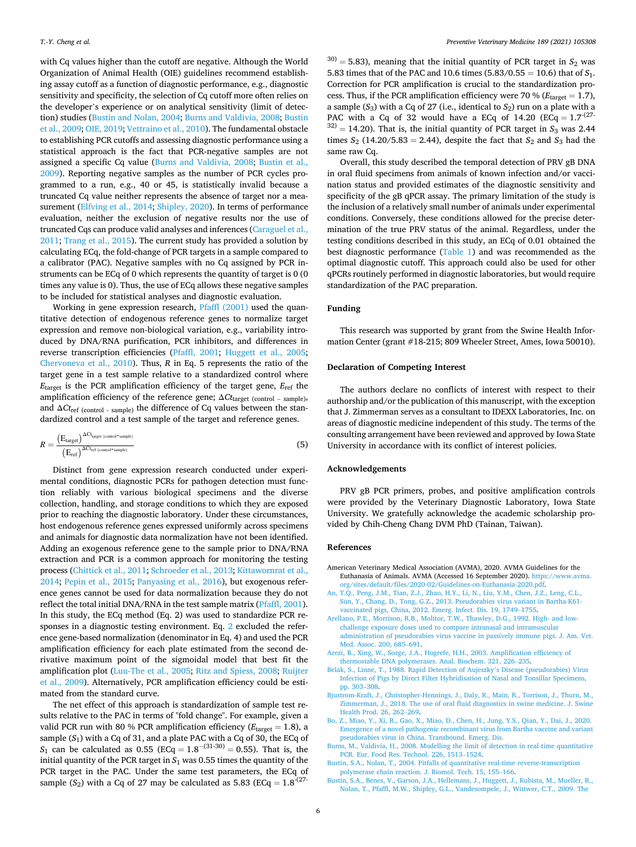<span id="page-5-0"></span>with Cq values higher than the cutoff are negative. Although the World Organization of Animal Health (OIE) guidelines recommend establishing assay cutoff as a function of diagnostic performance, e.g., diagnostic sensitivity and specificity, the selection of Cq cutoff more often relies on the developer's experience or on analytical sensitivity (limit of detection) studies (Bustin and Nolan, 2004; Burns and Valdivia, 2008; Bustin et al., 2009; [OIE, 2019](#page-7-0); [Vettraino et al., 2010](#page-7-0)). The fundamental obstacle to establishing PCR cutoffs and assessing diagnostic performance using a statistical approach is the fact that PCR-negative samples are not assigned a specific Cq value (Burns and Valdivia, 2008; Bustin et al., 2009). Reporting negative samples as the number of PCR cycles programmed to a run, e.g., 40 or 45, is statistically invalid because a truncated Cq value neither represents the absence of target nor a measurement ([Elfving et al., 2014;](#page-6-0) [Shipley, 2020\)](#page-7-0). In terms of performance evaluation, neither the exclusion of negative results nor the use of truncated Cqs can produce valid analyses and inferences ([Caraguel et al.,](#page-6-0)  [2011;](#page-6-0) [Trang et al., 2015\)](#page-7-0). The current study has provided a solution by calculating ECq, the fold-change of PCR targets in a sample compared to a calibrator (PAC). Negative samples with no Cq assigned by PCR instruments can be ECq of 0 which represents the quantity of target is 0 (0 times any value is 0). Thus, the use of ECq allows these negative samples to be included for statistical analyses and diagnostic evaluation.

Working in gene expression research, [Pfaffl \(2001\)](#page-6-0) used the quantitative detection of endogenous reference genes to normalize target expression and remove non-biological variation, e.g., variability introduced by DNA/RNA purification, PCR inhibitors, and differences in reverse transcription efficiencies [\(Pfaffl, 2001](#page-6-0); [Huggett et al., 2005](#page-6-0); [Chervoneva et al., 2010](#page-6-0)). Thus, *R* in Eq. 5 represents the ratio of the target gene in a test sample relative to a standardized control where *E*target is the PCR amplification efficiency of the target gene, *E*ref the amplification efficiency of the reference gene; Δ*Ct*target (control – sample), and Δ*Ct*ref (control - sample) the difference of Cq values between the standardized control and a test sample of the target and reference genes.

$$
R = \frac{\left(E_{\text{target}}\right)^{\Delta C_{\text{target (control}} \cdot \text{sample)}}}{\left(E_{\text{ref}}\right)^{\Delta C_{\text{ref}} \text{(control}} \cdot \text{sample)}}\tag{5}
$$

Distinct from gene expression research conducted under experimental conditions, diagnostic PCRs for pathogen detection must function reliably with various biological specimens and the diverse collection, handling, and storage conditions to which they are exposed prior to reaching the diagnostic laboratory. Under these circumstances, host endogenous reference genes expressed uniformly across specimens and animals for diagnostic data normalization have not been identified. Adding an exogenous reference gene to the sample prior to DNA/RNA extraction and PCR is a common approach for monitoring the testing process [\(Chittick et al., 2011](#page-6-0); [Schroeder et al., 2013](#page-7-0); [Kittawornrat et al.,](#page-6-0)  [2014; Pepin et al., 2015;](#page-6-0) [Panyasing et al., 2016\)](#page-6-0), but exogenous reference genes cannot be used for data normalization because they do not reflect the total initial DNA/RNA in the test sample matrix ([Pfaffl, 2001](#page-6-0)). In this study, the ECq method (Eq. 2) was used to standardize PCR responses in a diagnostic testing environment. Eq. [2](#page-1-0) excluded the reference gene-based normalization (denominator in Eq. 4) and used the PCR amplification efficiency for each plate estimated from the second derivative maximum point of the sigmoidal model that best fit the amplification plot [\(Luu-The et al., 2005;](#page-6-0) [Ritz and Spiess, 2008; Ruijter](#page-6-0)  [et al., 2009](#page-6-0)). Alternatively, PCR amplification efficiency could be estimated from the standard curve.

The net effect of this approach is standardization of sample test results relative to the PAC in terms of "fold change". For example, given a valid PCR run with 80 % PCR amplification efficiency ( $E_{\text{target}} = 1.8$ ), a sample  $(S_1)$  with a Cq of 31, and a plate PAC with a Cq of 30, the ECq of  $S_1$  can be calculated as  $0.55$  (ECq =  $1.8^{-(31-30)} = 0.55$ ). That is, the initial quantity of the PCR target in  $S_1$  was 0.55 times the quantity of the PCR target in the PAC. Under the same test parameters, the ECq of sample  $(S_2)$  with a Cq of 27 may be calculated as 5.83 (ECq =  $1.8^{-(27-1)}$ 

 $30$  = 5.83), meaning that the initial quantity of PCR target in  $S_2$  was 5.83 times that of the PAC and 10.6 times (5.83/0.55 = 10.6) that of *S*1. Correction for PCR amplification is crucial to the standardization process. Thus, if the PCR amplification efficiency were 70 % ( $E<sub>target</sub> = 1.7$ ), a sample  $(S_3)$  with a Cq of 27 (i.e., identical to  $S_2$ ) run on a plate with a PAC with a Cq of 32 would have a ECq of 14.20 (ECq =  $1.7^{(27-1)}$  $3^{(32)} = 14.20$ ). That is, the initial quantity of PCR target in  $S_3$  was 2.44 times  $S_2$  (14.20/5.83 = 2.44), despite the fact that  $S_2$  and  $S_3$  had the same raw Cq.

Overall, this study described the temporal detection of PRV gB DNA in oral fluid specimens from animals of known infection and/or vaccination status and provided estimates of the diagnostic sensitivity and specificity of the gB qPCR assay. The primary limitation of the study is the inclusion of a relatively small number of animals under experimental conditions. Conversely, these conditions allowed for the precise determination of the true PRV status of the animal. Regardless, under the testing conditions described in this study, an ECq of 0.01 obtained the best diagnostic performance ([Table 1](#page-2-0)) and was recommended as the optimal diagnostic cutoff. This approach could also be used for other qPCRs routinely performed in diagnostic laboratories, but would require standardization of the PAC preparation.

## **Funding**

This research was supported by grant from the Swine Health Information Center (grant #18-215; 809 Wheeler Street, Ames, Iowa 50010).

## **Declaration of Competing Interest**

The authors declare no conflicts of interest with respect to their authorship and/or the publication of this manuscript, with the exception that J. Zimmerman serves as a consultant to IDEXX Laboratories, Inc. on areas of diagnostic medicine independent of this study. The terms of the consulting arrangement have been reviewed and approved by Iowa State University in accordance with its conflict of interest policies.

## **Acknowledgements**

PRV gB PCR primers, probes, and positive amplification controls were provided by the Veterinary Diagnostic Laboratory, Iowa State University. We gratefully acknowledge the academic scholarship provided by Chih-Cheng Chang DVM PhD (Tainan, Taiwan).

#### **References**

- American Veterinary Medical Association (AVMA), 2020. AVMA Guidelines for the Euthanasia of Animals. AVMA (Accessed 16 September 2020). [https://www.avma.](https://www.avma.org/sites/default/files/2020-02/Guidelines-on-Euthanasia-2020.pdf) [org/sites/default/files/2020-02/Guidelines-on-Euthanasia-2020.pdf](https://www.avma.org/sites/default/files/2020-02/Guidelines-on-Euthanasia-2020.pdf).
- [An, T.Q., Peng, J.M., Tian, Z.J., Zhao, H.Y., Li, N., Liu, Y.M., Chen, J.Z., Leng, C.L.,](http://refhub.elsevier.com/S0167-5877(21)00052-0/sbref0010) [Sun, Y., Chang, D., Tong, G.Z., 2013. Pseudorabies virus variant in Bartha-K61](http://refhub.elsevier.com/S0167-5877(21)00052-0/sbref0010)  [vaccinated pigs, China, 2012. Emerg. Infect. Dis. 19, 1749](http://refhub.elsevier.com/S0167-5877(21)00052-0/sbref0010)–1755.
- [Arellano, P.E., Morrison, R.B., Molitor, T.W., Thawley, D.G., 1992. High- and low](http://refhub.elsevier.com/S0167-5877(21)00052-0/sbref0015)[challenge exposure doses used to compare intranasal and intramuscular](http://refhub.elsevier.com/S0167-5877(21)00052-0/sbref0015) [administration of pseudorabies virus vaccine in passively immune pigs. J. Am. Vet.](http://refhub.elsevier.com/S0167-5877(21)00052-0/sbref0015)  [Med. Assoc. 200, 685](http://refhub.elsevier.com/S0167-5877(21)00052-0/sbref0015)–691.
- [Arezi, B., Xing, W., Sorge, J.A., Hogrefe, H.H., 2003. Amplification efficiency of](http://refhub.elsevier.com/S0167-5877(21)00052-0/sbref0020)
- [thermostable DNA polymerases. Anal. Biochem. 321, 226](http://refhub.elsevier.com/S0167-5877(21)00052-0/sbref0020)–235.<br>Belák, S., Linné, T., 1988. Rapid Detection of Aujeszky's Disease (pseudorabies) Virus [Infection of Pigs by Direct Filter Hybridisation of Nasal and Tonsillar Specimens,](http://refhub.elsevier.com/S0167-5877(21)00052-0/sbref0025)  [pp. 303](http://refhub.elsevier.com/S0167-5877(21)00052-0/sbref0025)–308.
- [Bjustrom-Kraft, J., Christopher-Hennings, J., Daly, R., Main, R., Torrison, J., Thurn, M.,](http://refhub.elsevier.com/S0167-5877(21)00052-0/sbref0030)  [Zimmerman, J., 2018. The use of oral fluid diagnostics in swine medicine. J. Swine](http://refhub.elsevier.com/S0167-5877(21)00052-0/sbref0030)  [Health Prod. 26, 262](http://refhub.elsevier.com/S0167-5877(21)00052-0/sbref0030)–269.
- [Bo, Z., Miao, Y., Xi, R., Gao, X., Miao, D., Chen, H., Jung, Y.S., Qian, Y., Dai, J., 2020.](http://refhub.elsevier.com/S0167-5877(21)00052-0/sbref0035) [Emergence of a novel pathogenic recombinant virus from Bartha vaccine and variant](http://refhub.elsevier.com/S0167-5877(21)00052-0/sbref0035)  [pseudorabies virus in China. Transbound. Emerg. Dis.](http://refhub.elsevier.com/S0167-5877(21)00052-0/sbref0035)
- [Burns, M., Valdivia, H., 2008. Modelling the limit of detection in real-time quantitative](http://refhub.elsevier.com/S0167-5877(21)00052-0/sbref0040)  [PCR. Eur. Food Res. Technol. 226, 1513](http://refhub.elsevier.com/S0167-5877(21)00052-0/sbref0040)–1524.
- [Bustin, S.A., Nolan, T., 2004. Pitfalls of quantitative real-time reverse-transcription](http://refhub.elsevier.com/S0167-5877(21)00052-0/sbref0045) [polymerase chain reaction. J. Biomol. Tech. 15, 155](http://refhub.elsevier.com/S0167-5877(21)00052-0/sbref0045)–166.
- [Bustin, S.A., Benes, V., Garson, J.A., Hellemans, J., Huggett, J., Kubista, M., Mueller, R.,](http://refhub.elsevier.com/S0167-5877(21)00052-0/sbref0050)  [Nolan, T., Pfaffl, M.W., Shipley, G.L., Vandesompele, J., Wittwer, C.T., 2009. The](http://refhub.elsevier.com/S0167-5877(21)00052-0/sbref0050)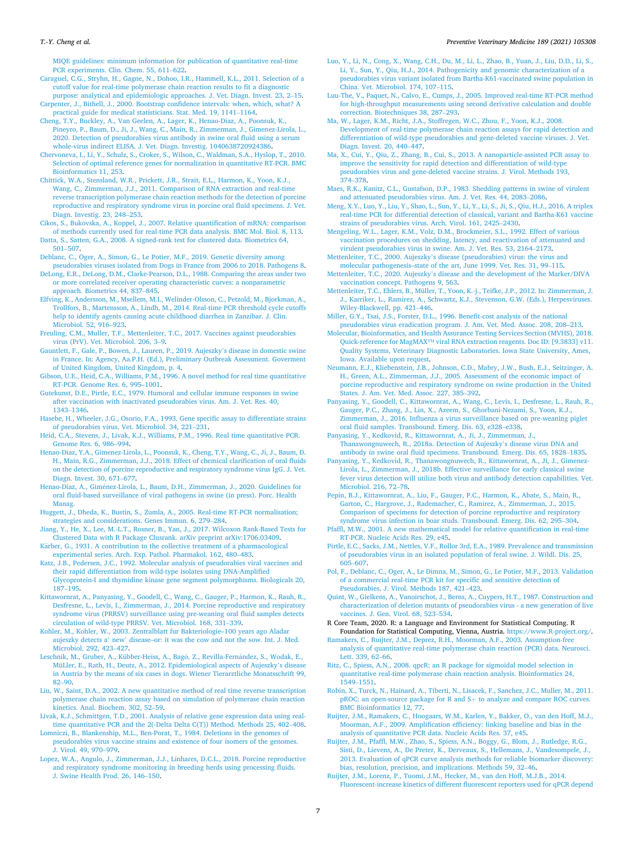#### <span id="page-6-0"></span>*T.-Y. Cheng et al.*

[MIQE guidelines: minimum information for publication of quantitative real-time](http://refhub.elsevier.com/S0167-5877(21)00052-0/sbref0050) [PCR experiments. Clin. Chem. 55, 611](http://refhub.elsevier.com/S0167-5877(21)00052-0/sbref0050)–622.

- [Caraguel, C.G., Stryhn, H., Gagne, N., Dohoo, I.R., Hammell, K.L., 2011. Selection of a](http://refhub.elsevier.com/S0167-5877(21)00052-0/sbref0055)  [cutoff value for real-time polymerase chain reaction results to fit a diagnostic](http://refhub.elsevier.com/S0167-5877(21)00052-0/sbref0055)
- [purpose: analytical and epidemiologic approaches. J. Vet. Diagn. Invest. 23, 2](http://refhub.elsevier.com/S0167-5877(21)00052-0/sbref0055)–15. [Carpenter, J., Bithell, J., 2000. Bootstrap confidence intervals: when, which, what? A](http://refhub.elsevier.com/S0167-5877(21)00052-0/sbref0060)  [practical guide for medical statisticians. Stat. Med. 19, 1141](http://refhub.elsevier.com/S0167-5877(21)00052-0/sbref0060)–1164.
- [Cheng, T.Y., Buckley, A., Van Geelen, A., Lager, K., Henao-Diaz, A., Poonsuk, K.,](http://refhub.elsevier.com/S0167-5877(21)00052-0/sbref0065) [Pineyro, P., Baum, D., Ji, J., Wang, C., Main, R., Zimmerman, J., Gimenez-Lirola, L.,](http://refhub.elsevier.com/S0167-5877(21)00052-0/sbref0065)  [2020. Detection of pseudorabies virus antibody in swine oral fluid using a serum](http://refhub.elsevier.com/S0167-5877(21)00052-0/sbref0065)  [whole-virus indirect ELISA. J. Vet. Diagn. Investig. 1040638720924386.](http://refhub.elsevier.com/S0167-5877(21)00052-0/sbref0065)
- [Chervoneva, I., Li, Y., Schulz, S., Croker, S., Wilson, C., Waldman, S.A., Hyslop, T., 2010.](http://refhub.elsevier.com/S0167-5877(21)00052-0/sbref0070)  [Selection of optimal reference genes for normalization in quantitative RT-PCR. BMC](http://refhub.elsevier.com/S0167-5877(21)00052-0/sbref0070)  [Bioinformatics 11, 253.](http://refhub.elsevier.com/S0167-5877(21)00052-0/sbref0070)
- [Chittick, W.A., Stensland, W.R., Prickett, J.R., Strait, E.L., Harmon, K., Yoon, K.J.,](http://refhub.elsevier.com/S0167-5877(21)00052-0/sbref0075) [Wang, C., Zimmerman, J.J., 2011. Comparison of RNA extraction and real-time](http://refhub.elsevier.com/S0167-5877(21)00052-0/sbref0075)  [reverse transcription polymerase chain reaction methods for the detection of porcine](http://refhub.elsevier.com/S0167-5877(21)00052-0/sbref0075)  [reproductive and respiratory syndrome virus in porcine oral fluid specimens. J. Vet.](http://refhub.elsevier.com/S0167-5877(21)00052-0/sbref0075)  [Diagn. Investig. 23, 248](http://refhub.elsevier.com/S0167-5877(21)00052-0/sbref0075)–253.
- [Cikos, S., Bukovska, A., Koppel, J., 2007. Relative quantification of mRNA: comparison](http://refhub.elsevier.com/S0167-5877(21)00052-0/sbref0080)  [of methods currently used for real-time PCR data analysis. BMC Mol. Biol. 8, 113](http://refhub.elsevier.com/S0167-5877(21)00052-0/sbref0080).

[Datta, S., Satten, G.A., 2008. A signed-rank test for clustered data. Biometrics 64,](http://refhub.elsevier.com/S0167-5877(21)00052-0/sbref0085) 501–[507](http://refhub.elsevier.com/S0167-5877(21)00052-0/sbref0085).

[Deblanc, C., Oger, A., Simon, G., Le Potier, M.F., 2019. Genetic diversity among](http://refhub.elsevier.com/S0167-5877(21)00052-0/sbref0090)  [pseudorabies viruses isolated from Dogs in France from 2006 to 2018. Pathogens 8.](http://refhub.elsevier.com/S0167-5877(21)00052-0/sbref0090)

[DeLong, E.R., DeLong, D.M., Clarke-Pearson, D.L., 1988. Comparing the areas under two](http://refhub.elsevier.com/S0167-5877(21)00052-0/sbref0095)  [or more correlated receiver operating characteristic curves: a nonparametric](http://refhub.elsevier.com/S0167-5877(21)00052-0/sbref0095)  [approach. Biometrics 44, 837](http://refhub.elsevier.com/S0167-5877(21)00052-0/sbref0095)–845.

- [Elfving, K., Andersson, M., Msellem, M.I., Welinder-Olsson, C., Petzold, M., Bjorkman, A.,](http://refhub.elsevier.com/S0167-5877(21)00052-0/sbref0100)  [Trollfors, B., Martensson, A., Lindh, M., 2014. Real-time PCR threshold cycle cutoffs](http://refhub.elsevier.com/S0167-5877(21)00052-0/sbref0100)  [help to identify agents causing acute childhood diarrhea in Zanzibar. J. Clin.](http://refhub.elsevier.com/S0167-5877(21)00052-0/sbref0100) [Microbiol. 52, 916](http://refhub.elsevier.com/S0167-5877(21)00052-0/sbref0100)–923.
- [Freuling, C.M., Muller, T.F., Mettenleiter, T.C., 2017. Vaccines against pseudorabies](http://refhub.elsevier.com/S0167-5877(21)00052-0/sbref0105) [virus \(PrV\). Vet. Microbiol. 206, 3](http://refhub.elsevier.com/S0167-5877(21)00052-0/sbref0105)–9.
- [Gauntlett, F., Gale, P., Bowen, J., Lauren, P., 2019. Aujeszky](http://refhub.elsevier.com/S0167-5877(21)00052-0/sbref0110)'s disease in domestic swine [in France. In: Agency, Aa.P.H. \(Ed.\), Preliminary Outbreak Assessment. Goverment](http://refhub.elsevier.com/S0167-5877(21)00052-0/sbref0110) [of United Kingdom, United Kingdom, p. 4](http://refhub.elsevier.com/S0167-5877(21)00052-0/sbref0110).
- [Gibson, U.E., Heid, C.A., Williams, P.M., 1996. A novel method for real time quantitative](http://refhub.elsevier.com/S0167-5877(21)00052-0/sbref0115)  [RT-PCR. Genome Res. 6, 995](http://refhub.elsevier.com/S0167-5877(21)00052-0/sbref0115)–1001.
- [Gutekunst, D.E., Pirtle, E.C., 1979. Humoral and cellular immune responses in swine](http://refhub.elsevier.com/S0167-5877(21)00052-0/sbref0120)  [after vaccination with inactivated pseudorabies virus. Am. J. Vet. Res. 40,](http://refhub.elsevier.com/S0167-5877(21)00052-0/sbref0120) [1343](http://refhub.elsevier.com/S0167-5877(21)00052-0/sbref0120)–1346.
- [Hasebe, H., Wheeler, J.G., Osorio, F.A., 1993. Gene specific assay to differentiate strains](http://refhub.elsevier.com/S0167-5877(21)00052-0/sbref0125)  [of pseudorabies virus. Vet. Microbiol. 34, 221](http://refhub.elsevier.com/S0167-5877(21)00052-0/sbref0125)–231.
- [Heid, C.A., Stevens, J., Livak, K.J., Williams, P.M., 1996. Real time quantitative PCR.](http://refhub.elsevier.com/S0167-5877(21)00052-0/sbref0130) [Genome Res. 6, 986](http://refhub.elsevier.com/S0167-5877(21)00052-0/sbref0130)–994.
- [Henao-Diaz, Y.A., Gimenez-Lirola, L., Poonsuk, K., Cheng, T.Y., Wang, C., Ji, J., Baum, D.](http://refhub.elsevier.com/S0167-5877(21)00052-0/sbref0135)  [H., Main, R.G., Zimmerman, J.J., 2018. Effect of chemical clarification of oral fluids](http://refhub.elsevier.com/S0167-5877(21)00052-0/sbref0135)  [on the detection of porcine reproductive and respiratory syndrome virus IgG. J. Vet.](http://refhub.elsevier.com/S0167-5877(21)00052-0/sbref0135)  [Diagn. Invest. 30, 671](http://refhub.elsevier.com/S0167-5877(21)00052-0/sbref0135)–677.
- Henao-Diaz, A., Giménez-Lirola, L., Baum, D.H., Zimmerman, J., 2020. Guidelines for [oral fluid-based surveillance of viral pathogens in swine \(in press\). Porc. Health](http://refhub.elsevier.com/S0167-5877(21)00052-0/sbref0140)  [Manag.](http://refhub.elsevier.com/S0167-5877(21)00052-0/sbref0140)
- [Huggett, J., Dheda, K., Bustin, S., Zumla, A., 2005. Real-time RT-PCR normalisation;](http://refhub.elsevier.com/S0167-5877(21)00052-0/sbref0145) [strategies and considerations. Genes Immun. 6, 279](http://refhub.elsevier.com/S0167-5877(21)00052-0/sbref0145)–284.
- [Jiang, Y., He, X., Lee, M.-L.T., Rosner, B., Yan, J., 2017. Wilcoxon Rank-Based Tests for](http://refhub.elsevier.com/S0167-5877(21)00052-0/sbref0150)  [Clustered Data with R Package Clusrank. arXiv preprint arXiv:1706.03409.](http://refhub.elsevier.com/S0167-5877(21)00052-0/sbref0150)
- Kärber, G., 1931. A contribution to the collective treatment of a pharmacological [experimental series. Arch. Exp. Pathol. Pharmakol. 162, 480](http://refhub.elsevier.com/S0167-5877(21)00052-0/sbref0155)–483.
- [Katz, J.B., Pedersen, J.C., 1992. Molecular analysis of pseudorabies viral vaccines and](http://refhub.elsevier.com/S0167-5877(21)00052-0/sbref0160) [their rapid differentiation from wild-type isolates using DNA-Amplified](http://refhub.elsevier.com/S0167-5877(21)00052-0/sbref0160)  [Glycoprotein-I and thymidine kinase gene segment polymorphisms. Biologicals 20,](http://refhub.elsevier.com/S0167-5877(21)00052-0/sbref0160)  187–[195](http://refhub.elsevier.com/S0167-5877(21)00052-0/sbref0160).
- [Kittawornrat, A., Panyasing, Y., Goodell, C., Wang, C., Gauger, P., Harmon, K., Rauh, R.,](http://refhub.elsevier.com/S0167-5877(21)00052-0/sbref0165)  [Desfresne, L., Levis, I., Zimmerman, J., 2014. Porcine reproductive and respiratory](http://refhub.elsevier.com/S0167-5877(21)00052-0/sbref0165)  [syndrome virus \(PRRSV\) surveillance using pre-weaning oral fluid samples detects](http://refhub.elsevier.com/S0167-5877(21)00052-0/sbref0165)  [circulation of wild-type PRRSV. Vet. Microbiol. 168, 331](http://refhub.elsevier.com/S0167-5877(21)00052-0/sbref0165)–339.
- [Kohler, M., Kohler, W., 2003. Zentralblatt fur Bakteriologie–100 years ago Aladar](http://refhub.elsevier.com/S0167-5877(21)00052-0/sbref0170) aujeszky detects a' new' [disease–or: it was the cow and not the sow. Int. J. Med.](http://refhub.elsevier.com/S0167-5877(21)00052-0/sbref0170)  [Microbiol. 292, 423](http://refhub.elsevier.com/S0167-5877(21)00052-0/sbref0170)–427.
- Leschnik, M., Gruber, A., Kübber-Heiss, A., Bagó, Z., Revilla-Fernández, S., Wodak, E., [MüLler, E., Rath, H., Deutz, A., 2012. Epidemiological aspects of Aujeszky](http://refhub.elsevier.com/S0167-5877(21)00052-0/sbref0175)'s disease [in Austria by the means of six cases in dogs. Wiener Tierarztliche Monatsschrift 99,](http://refhub.elsevier.com/S0167-5877(21)00052-0/sbref0175)  82–[90](http://refhub.elsevier.com/S0167-5877(21)00052-0/sbref0175).
- [Liu, W., Saint, D.A., 2002. A new quantitative method of real time reverse transcription](http://refhub.elsevier.com/S0167-5877(21)00052-0/sbref0180)  [polymerase chain reaction assay based on simulation of polymerase chain reaction](http://refhub.elsevier.com/S0167-5877(21)00052-0/sbref0180)  [kinetics. Anal. Biochem. 302, 52](http://refhub.elsevier.com/S0167-5877(21)00052-0/sbref0180)–59.
- [Livak, K.J., Schmittgen, T.D., 2001. Analysis of relative gene expression data using real](http://refhub.elsevier.com/S0167-5877(21)00052-0/sbref0185)[time quantitative PCR and the 2\(-Delta Delta C\(T\)\) Method. Methods 25, 402](http://refhub.elsevier.com/S0167-5877(21)00052-0/sbref0185)–408.
- [Lomniczi, B., Blankenship, M.L., Ben-Porat, T., 1984. Deletions in the genomes of](http://refhub.elsevier.com/S0167-5877(21)00052-0/sbref0190) pseudorabies virus vaccine strains and existence of four isomers of the genomes [J. Virol. 49, 970](http://refhub.elsevier.com/S0167-5877(21)00052-0/sbref0190)–979.
- [Lopez, W.A., Angulo, J., Zimmerman, J.J., Linhares, D.C.L., 2018. Porcine reproductive](http://refhub.elsevier.com/S0167-5877(21)00052-0/sbref0195)  [and respiratory syndrome monitoring in breeding herds using processing fluids.](http://refhub.elsevier.com/S0167-5877(21)00052-0/sbref0195)  [J. Swine Health Prod. 26, 146](http://refhub.elsevier.com/S0167-5877(21)00052-0/sbref0195)–150.
- [Luo, Y., Li, N., Cong, X., Wang, C.H., Du, M., Li, L., Zhao, B., Yuan, J., Liu, D.D., Li, S.,](http://refhub.elsevier.com/S0167-5877(21)00052-0/sbref0200)  [Li, Y., Sun, Y., Qiu, H.J., 2014. Pathogenicity and genomic characterization of a](http://refhub.elsevier.com/S0167-5877(21)00052-0/sbref0200) [pseudorabies virus variant isolated from Bartha-K61-vaccinated swine population in](http://refhub.elsevier.com/S0167-5877(21)00052-0/sbref0200)  [China. Vet. Microbiol. 174, 107](http://refhub.elsevier.com/S0167-5877(21)00052-0/sbref0200)–115.
- [Luu-The, V., Paquet, N., Calvo, E., Cumps, J., 2005. Improved real-time RT-PCR method](http://refhub.elsevier.com/S0167-5877(21)00052-0/sbref0205)  [for high-throughput measurements using second derivative calculation and double](http://refhub.elsevier.com/S0167-5877(21)00052-0/sbref0205)  [correction. Biotechniques 38, 287](http://refhub.elsevier.com/S0167-5877(21)00052-0/sbref0205)–293.
- [Ma, W., Lager, K.M., Richt, J.A., Stoffregen, W.C., Zhou, F., Yoon, K.J., 2008.](http://refhub.elsevier.com/S0167-5877(21)00052-0/sbref0210) [Development of real-time polymerase chain reaction assays for rapid detection and](http://refhub.elsevier.com/S0167-5877(21)00052-0/sbref0210)  [differentiation of wild-type pseudorabies and gene-deleted vaccine viruses. J. Vet.](http://refhub.elsevier.com/S0167-5877(21)00052-0/sbref0210) [Diagn. Invest. 20, 440](http://refhub.elsevier.com/S0167-5877(21)00052-0/sbref0210)–447.
- [Ma, X., Cui, Y., Qiu, Z., Zhang, B., Cui, S., 2013. A nanoparticle-assisted PCR assay to](http://refhub.elsevier.com/S0167-5877(21)00052-0/sbref0215)  [improve the sensitivity for rapid detection and differentiation of wild-type](http://refhub.elsevier.com/S0167-5877(21)00052-0/sbref0215) [pseudorabies virus and gene-deleted vaccine strains. J. Virol. Methods 193,](http://refhub.elsevier.com/S0167-5877(21)00052-0/sbref0215)  374–[378](http://refhub.elsevier.com/S0167-5877(21)00052-0/sbref0215).
- [Maes, R.K., Kanitz, C.L., Gustafson, D.P., 1983. Shedding patterns in swine of virulent](http://refhub.elsevier.com/S0167-5877(21)00052-0/sbref0220) [and attenuated pseudorabies virus. Am. J. Vet. Res. 44, 2083](http://refhub.elsevier.com/S0167-5877(21)00052-0/sbref0220)–2086.
- [Meng, X.Y., Luo, Y., Liu, Y., Shao, L., Sun, Y., Li, Y., Li, S., Ji, S., Qiu, H.J., 2016. A triplex](http://refhub.elsevier.com/S0167-5877(21)00052-0/sbref0225)  [real-time PCR for differential detection of classical, variant and Bartha-K61 vaccine](http://refhub.elsevier.com/S0167-5877(21)00052-0/sbref0225)  [strains of pseudorabies virus. Arch. Virol. 161, 2425](http://refhub.elsevier.com/S0167-5877(21)00052-0/sbref0225)–2430.
- [Mengeling, W.L., Lager, K.M., Volz, D.M., Brockmeier, S.L., 1992. Effect of various](http://refhub.elsevier.com/S0167-5877(21)00052-0/sbref0230)  [vaccination procedures on shedding, latency, and reactivation of attenuated and](http://refhub.elsevier.com/S0167-5877(21)00052-0/sbref0230)  [virulent pseudorabies virus in swine. Am. J. Vet. Res. 53, 2164](http://refhub.elsevier.com/S0167-5877(21)00052-0/sbref0230)–2173.
- Mettenleiter, T.C., 2000. Aujeszky'[s disease \(pseudorabies\) virus: the virus and](http://refhub.elsevier.com/S0167-5877(21)00052-0/sbref0235)  [molecular pathogenesis–state of the art, June 1999. Vet. Res. 31, 99](http://refhub.elsevier.com/S0167-5877(21)00052-0/sbref0235)–115.
- Mettenleiter, T.C., 2020. Aujeszky'[s disease and the development of the Marker/DIVA](http://refhub.elsevier.com/S0167-5877(21)00052-0/sbref0240) [vaccination concept. Pathogens 9, 563](http://refhub.elsevier.com/S0167-5877(21)00052-0/sbref0240).
- [Mettenleiter, T.C., Ehlers, B., Müller, T., Yoon, K.-j., Teifke, J.P., 2012. In: Zimmerman, J.](http://refhub.elsevier.com/S0167-5877(21)00052-0/sbref0245)  [J., Karriker, L., Ramirez, A., Schwartz, K.J., Stevenson, G.W. \(Eds.\), Herpesviruses.](http://refhub.elsevier.com/S0167-5877(21)00052-0/sbref0245)  [Wiley-Blackwell, pp. 421](http://refhub.elsevier.com/S0167-5877(21)00052-0/sbref0245)–446.
- [Miller, G.Y., Tsai, J.S., Forster, D.L., 1996. Benefit-cost analysis of the national](http://refhub.elsevier.com/S0167-5877(21)00052-0/sbref0250) [pseudorabies virus eradication program. J. Am. Vet. Med. Assoc. 208, 208](http://refhub.elsevier.com/S0167-5877(21)00052-0/sbref0250)–213.
- [Molecular, Bioinformatics, and Health Assurance Testing Services Section \(MVHS\), 2018.](http://refhub.elsevier.com/S0167-5877(21)00052-0/sbref0255)  Quick-reference for MagMAX™ [viral RNA extraction reagents. Doc ID: \[9.3833\] v11.](http://refhub.elsevier.com/S0167-5877(21)00052-0/sbref0255)  [Quality Systems, Veterinary Diagnostic Laboratories. Iowa State University, Ames,](http://refhub.elsevier.com/S0167-5877(21)00052-0/sbref0255) [Iowa. Available upon request.](http://refhub.elsevier.com/S0167-5877(21)00052-0/sbref0255)
- [Neumann, E.J., Kliebenstein, J.B., Johnson, C.D., Mabry, J.W., Bush, E.J., Seitzinger, A.](http://refhub.elsevier.com/S0167-5877(21)00052-0/sbref0260)  [H., Green, A.L., Zimmerman, J.J., 2005. Assessment of the economic impact of](http://refhub.elsevier.com/S0167-5877(21)00052-0/sbref0260)  [porcine reproductive and respiratory syndrome on swine production in the United](http://refhub.elsevier.com/S0167-5877(21)00052-0/sbref0260)  [States. J. Am. Vet. Med. Assoc. 227, 385](http://refhub.elsevier.com/S0167-5877(21)00052-0/sbref0260)–392.
- [Panyasing, Y., Goodell, C., Kittawornrat, A., Wang, C., Levis, I., Desfresne, L., Rauh, R.,](http://refhub.elsevier.com/S0167-5877(21)00052-0/sbref0265)  [Gauger, P.C., Zhang, J., Lin, X., Azeem, S., Ghorbani-Nezami, S., Yoon, K.J.,](http://refhub.elsevier.com/S0167-5877(21)00052-0/sbref0265) [Zimmerman, J., 2016. Influenza a virus surveillance based on pre-weaning piglet](http://refhub.elsevier.com/S0167-5877(21)00052-0/sbref0265) [oral fluid samples. Transbound. Emerg. Dis. 63, e328](http://refhub.elsevier.com/S0167-5877(21)00052-0/sbref0265)–e338.
- [Panyasing, Y., Kedkovid, R., Kittawornrat, A., Ji, J., Zimmerman, J.,](http://refhub.elsevier.com/S0167-5877(21)00052-0/sbref0270)  [Thanawongnuwech, R., 2018a. Detection of Aujeszky](http://refhub.elsevier.com/S0167-5877(21)00052-0/sbref0270)'s disease virus DNA and [antibody in swine oral fluid specimens. Transbound. Emerg. Dis. 65, 1828](http://refhub.elsevier.com/S0167-5877(21)00052-0/sbref0270)–1835.
- [Panyasing, Y., Kedkovid, R., Thanawongnuwech, R., Kittawornrat, A., Ji, J., Gimenez-](http://refhub.elsevier.com/S0167-5877(21)00052-0/sbref0275)[Lirola, L., Zimmerman, J., 2018b. Effective surveillance for early classical swine](http://refhub.elsevier.com/S0167-5877(21)00052-0/sbref0275) [fever virus detection will utilize both virus and antibody detection capabilities. Vet.](http://refhub.elsevier.com/S0167-5877(21)00052-0/sbref0275)  [Microbiol. 216, 72](http://refhub.elsevier.com/S0167-5877(21)00052-0/sbref0275)–78.
- [Pepin, B.J., Kittawornrat, A., Liu, F., Gauger, P.C., Harmon, K., Abate, S., Main, R.,](http://refhub.elsevier.com/S0167-5877(21)00052-0/sbref0280) [Garton, C., Hargrove, J., Rademacher, C., Ramirez, A., Zimmerman, J., 2015.](http://refhub.elsevier.com/S0167-5877(21)00052-0/sbref0280)  [Comparison of specimens for detection of porcine reproductive and respiratory](http://refhub.elsevier.com/S0167-5877(21)00052-0/sbref0280) [syndrome virus infection in boar studs. Transbound. Emerg. Dis. 62, 295](http://refhub.elsevier.com/S0167-5877(21)00052-0/sbref0280)–304.
- [Pfaffl, M.W., 2001. A new mathematical model for relative quantification in real-time](http://refhub.elsevier.com/S0167-5877(21)00052-0/sbref0285)  [RT-PCR. Nucleic Acids Res. 29, e45](http://refhub.elsevier.com/S0167-5877(21)00052-0/sbref0285).
- [Pirtle, E.C., Sacks, J.M., Nettles, V.F., Rollor 3rd, E.A., 1989. Prevalence and transmission](http://refhub.elsevier.com/S0167-5877(21)00052-0/sbref0290)  [of pseudorabies virus in an isolated population of feral swine. J. Wildl. Dis. 25,](http://refhub.elsevier.com/S0167-5877(21)00052-0/sbref0290) 605–[607](http://refhub.elsevier.com/S0167-5877(21)00052-0/sbref0290).
- [Pol, F., Deblanc, C., Oger, A., Le Dimna, M., Simon, G., Le Potier, M.F., 2013. Validation](http://refhub.elsevier.com/S0167-5877(21)00052-0/sbref0295)  [of a commercial real-time PCR kit for specific and sensitive detection of](http://refhub.elsevier.com/S0167-5877(21)00052-0/sbref0295) [Pseudorabies. J. Virol. Methods 187, 421](http://refhub.elsevier.com/S0167-5877(21)00052-0/sbref0295)–423.
- [Quint, W., Gielkens, A., Vanoirschot, J., Berns, A., Cuypers, H.T., 1987. Construction and](http://refhub.elsevier.com/S0167-5877(21)00052-0/sbref0300)  [characterization of deletion mutants of pseudorabies virus - a new generation of live](http://refhub.elsevier.com/S0167-5877(21)00052-0/sbref0300)  [vaccines. J. Gen. Virol. 68, 523](http://refhub.elsevier.com/S0167-5877(21)00052-0/sbref0300)–534.
- R Core Team, 2020. R: a Language and Environment for Statistical Computing. R Foundation for Statistical Computing, Vienna, Austria. [https://www.R-project.org/.](https://www.R-project.org/)
- [Ramakers, C., Ruijter, J.M., Deprez, R.H., Moorman, A.F., 2003. Assumption-free](http://refhub.elsevier.com/S0167-5877(21)00052-0/sbref0310)  [analysis of quantitative real-time polymerase chain reaction \(PCR\) data. Neurosci.](http://refhub.elsevier.com/S0167-5877(21)00052-0/sbref0310) [Lett. 339, 62](http://refhub.elsevier.com/S0167-5877(21)00052-0/sbref0310)–66.
- [Ritz, C., Spiess, A.N., 2008. qpcR: an R package for sigmoidal model selection in](http://refhub.elsevier.com/S0167-5877(21)00052-0/sbref0315) [quantitative real-time polymerase chain reaction analysis. Bioinformatics 24,](http://refhub.elsevier.com/S0167-5877(21)00052-0/sbref0315)  [1549](http://refhub.elsevier.com/S0167-5877(21)00052-0/sbref0315)–1551.
- [Robin, X., Turck, N., Hainard, A., Tiberti, N., Lisacek, F., Sanchez, J.C., Muller, M., 2011.](http://refhub.elsevier.com/S0167-5877(21)00052-0/sbref0320)  [pROC: an open-source package for R and S](http://refhub.elsevier.com/S0167-5877(21)00052-0/sbref0320)+ to analyze and compare ROC curves. [BMC Bioinformatics 12, 77.](http://refhub.elsevier.com/S0167-5877(21)00052-0/sbref0320)
- [Ruijter, J.M., Ramakers, C., Hoogaars, W.M., Karlen, Y., Bakker, O., van den Hoff, M.J.,](http://refhub.elsevier.com/S0167-5877(21)00052-0/sbref0325)  [Moorman, A.F., 2009. Amplification efficiency: linking baseline and bias in the](http://refhub.elsevier.com/S0167-5877(21)00052-0/sbref0325)  [analysis of quantitative PCR data. Nucleic Acids Res. 37, e45.](http://refhub.elsevier.com/S0167-5877(21)00052-0/sbref0325)
- [Ruijter, J.M., Pfaffl, M.W., Zhao, S., Spiess, A.N., Boggy, G., Blom, J., Rutledge, R.G.,](http://refhub.elsevier.com/S0167-5877(21)00052-0/sbref0330)  [Sisti, D., Lievens, A., De Preter, K., Derveaux, S., Hellemans, J., Vandesompele, J.,](http://refhub.elsevier.com/S0167-5877(21)00052-0/sbref0330) [2013. Evaluation of qPCR curve analysis methods for reliable biomarker discovery:](http://refhub.elsevier.com/S0167-5877(21)00052-0/sbref0330)  [bias, resolution, precision, and implications. Methods 59, 32](http://refhub.elsevier.com/S0167-5877(21)00052-0/sbref0330)–46.
- [Ruijter, J.M., Lorenz, P., Tuomi, J.M., Hecker, M., van den Hoff, M.J.B., 2014.](http://refhub.elsevier.com/S0167-5877(21)00052-0/sbref0335)  [Fluorescent-increase kinetics of different fluorescent reporters used for qPCR depend](http://refhub.elsevier.com/S0167-5877(21)00052-0/sbref0335)